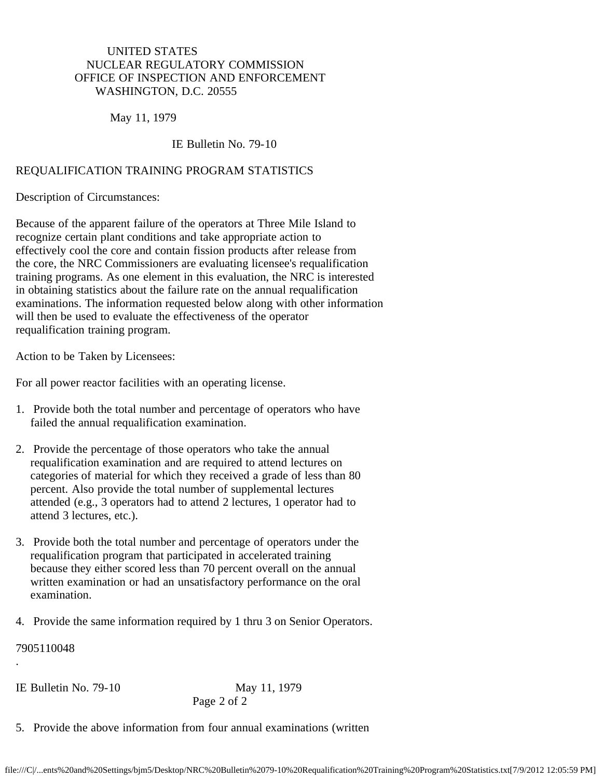## UNITED STATES NUCLEAR REGULATORY COMMISSION OFFICE OF INSPECTION AND ENFORCEMENT WASHINGTON, D.C. 20555

May 11, 1979

## IE Bulletin No. 79-10

## REQUALIFICATION TRAINING PROGRAM STATISTICS

Description of Circumstances:

Because of the apparent failure of the operators at Three Mile Island to recognize certain plant conditions and take appropriate action to effectively cool the core and contain fission products after release from the core, the NRC Commissioners are evaluating licensee's requalification training programs. As one element in this evaluation, the NRC is interested in obtaining statistics about the failure rate on the annual requalification examinations. The information requested below along with other information will then be used to evaluate the effectiveness of the operator requalification training program.

Action to be Taken by Licensees:

For all power reactor facilities with an operating license.

- 1. Provide both the total number and percentage of operators who have failed the annual requalification examination.
- 2. Provide the percentage of those operators who take the annual requalification examination and are required to attend lectures on categories of material for which they received a grade of less than 80 percent. Also provide the total number of supplemental lectures attended (e.g., 3 operators had to attend 2 lectures, 1 operator had to attend 3 lectures, etc.).
- 3. Provide both the total number and percentage of operators under the requalification program that participated in accelerated training because they either scored less than 70 percent overall on the annual written examination or had an unsatisfactory performance on the oral examination.
- 4. Provide the same information required by 1 thru 3 on Senior Operators.

7905110048

.

IE Bulletin No. 79-10 May 11, 1979

Page 2 of 2

5. Provide the above information from four annual examinations (written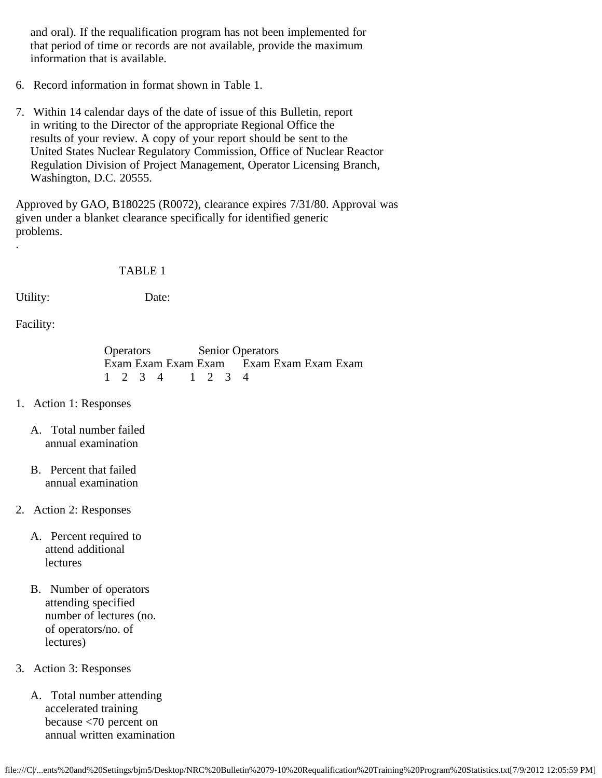and oral). If the requalification program has not been implemented for that period of time or records are not available, provide the maximum information that is available.

- 6. Record information in format shown in Table 1.
- 7. Within 14 calendar days of the date of issue of this Bulletin, report in writing to the Director of the appropriate Regional Office the results of your review. A copy of your report should be sent to the United States Nuclear Regulatory Commission, Office of Nuclear Reactor Regulation Division of Project Management, Operator Licensing Branch, Washington, D.C. 20555.

Approved by GAO, B180225 (R0072), clearance expires 7/31/80. Approval was given under a blanket clearance specifically for identified generic problems.

## TABLE 1

.

Utility: Date:

Facility:

 Operators Senior Operators Exam Exam Exam Exam Exam Exam Exam Exam 1 2 3 4 1 2 3 4

- 1. Action 1: Responses
	- A. Total number failed annual examination
	- B. Percent that failed annual examination
- 2. Action 2: Responses
	- A. Percent required to attend additional lectures
	- B. Number of operators attending specified number of lectures (no. of operators/no. of lectures)
- 3. Action 3: Responses
	- A. Total number attending accelerated training because <70 percent on annual written examination